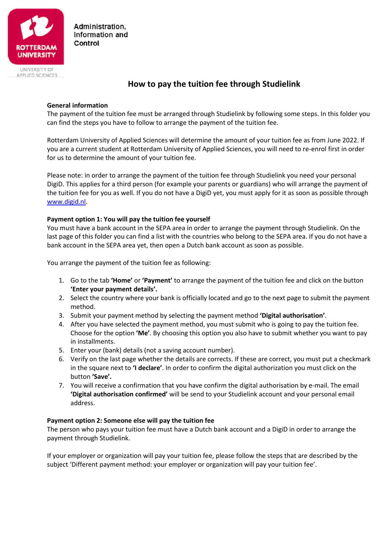

Administration. Information and Control

UNIVERSITY OF APPLIED SCIENCES

# **How to pay the tuition fee through Studielink**

# **General information**

The payment of the tuition fee must be arranged through Studielink by following some steps. In this folder you can find the steps you have to follow to arrange the payment of the tuition fee.

Rotterdam University of Applied Sciences will determine the amount of your tuition fee as from June 2022. If you are a current student at Rotterdam University of Applied Sciences, you will need to re-enrol first in order for us to determine the amount of your tuition fee.

Please note: in order to arrange the payment of the tuition fee through Studielink you need your personal DigiD. This applies for a third person (for example your parents or guardians) who will arrange the payment of the tuition fee for you as well. If you do not have a DigiD yet, you must apply for it as soon as possible through [www.digid.nl.](http://www.digid.nl/)

### **Payment option 1: You will pay the tuition fee yourself**

You must have a bank account in the SEPA area in order to arrange the payment through Studielink. On the last page of this folder you can find a list with the countries who belong to the SEPA area. If you do not have a bank account in the SEPA area yet, then open a Dutch bank account as soon as possible.

You arrange the payment of the tuition fee as following:

- 1. Go to the tab **'Home'** or **'Payment'** to arrange the payment of the tuition fee and click on the button **'Enter your payment details'.**
- 2. Select the country where your bank is officially located and go to the next page to submit the payment method.
- 3. Submit your payment method by selecting the payment method **'Digital authorisation'**.
- 4. After you have selected the payment method, you must submit who is going to pay the tuition fee. Choose for the option **'Me'**. By choosing this option you also have to submit whether you want to pay in installments.
- 5. Enter your (bank) details (not a saving account number).
- 6. Verify on the last page whether the details are corrects. If these are correct, you must put a checkmark in the square next to **'I declare'**. In order to confirm the digital authorization you must click on the button **'Save'.**
- 7. You will receive a confirmation that you have confirm the digital authorisation by e-mail. The email **'Digital authorisation confirmed'** will be send to your Studielink account and your personal email address.

#### **Payment option 2: Someone else will pay the tuition fee**

The person who pays your tuition fee must have a Dutch bank account and a DigiD in order to arrange the payment through Studielink.

If your employer or organization will pay your tuition fee, please follow the steps that are described by the subject 'Different payment method: your employer or organization will pay your tuition fee'.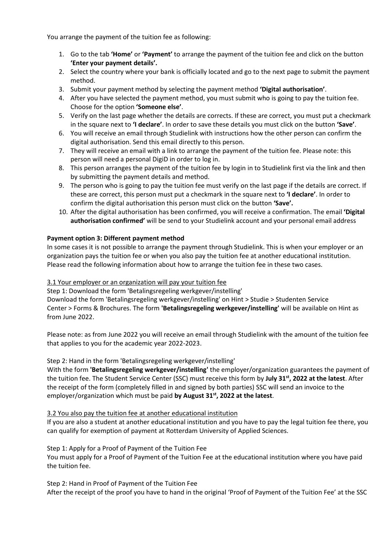You arrange the payment of the tuition fee as following:

- 1. Go to the tab **'Home'** or **'Payment'** to arrange the payment of the tuition fee and click on the button **'Enter your payment details'.**
- 2. Select the country where your bank is officially located and go to the next page to submit the payment method.
- 3. Submit your payment method by selecting the payment method **'Digital authorisation'**.
- 4. After you have selected the payment method, you must submit who is going to pay the tuition fee. Choose for the option **'Someone else'**.
- 5. Verify on the last page whether the details are corrects. If these are correct, you must put a checkmark in the square next to **'I declare'**. In order to save these details you must click on the button **'Save'**.
- 6. You will receive an email through Studielink with instructions how the other person can confirm the digital authorisation. Send this email directly to this person.
- 7. They will receive an email with a link to arrange the payment of the tuition fee. Please note: this person will need a personal DigiD in order to log in.
- 8. This person arranges the payment of the tuition fee by login in to Studielink first via the link and then by submitting the payment details and method.
- 9. The person who is going to pay the tuition fee must verify on the last page if the details are correct. If these are correct, this person must put a checkmark in the square next to **'I declare'**. In order to confirm the digital authorisation this person must click on the button **'Save'.**
- 10. After the digital authorisation has been confirmed, you will receive a confirmation. The email **'Digital authorisation confirmed'** will be send to your Studielink account and your personal email address

# **Payment option 3: Different payment method**

In some cases it is not possible to arrange the payment through Studielink. This is when your employer or an organization pays the tuition fee or when you also pay the tuition fee at another educational institution. Please read the following information about how to arrange the tuition fee in these two cases.

# 3.1 Your employer or an organization will pay your tuition fee

Step 1: Download the form 'Betalingsregeling werkgever/instelling'

Download the form 'Betalingsregeling werkgever/instelling' on Hint > Studie > Studenten Service Center > Forms & Brochures. The form **'Betalingsregeling werkgever/instelling'** will be available on Hint as from June 2022.

Please note: as from June 2022 you will receive an email through Studielink with the amount of the tuition fee that applies to you for the academic year 2022-2023.

#### Step 2: Hand in the form 'Betalingsregeling werkgever/instelling'

With the form **'Betalingsregeling werkgever/instelling'** the employer/organization guarantees the payment of the tuition fee. The Student Service Center (SSC) must receive this form by **July 31st , 2022 at the latest**. After the receipt of the form (completely filled in and signed by both parties) SSC will send an invoice to the employer/organization which must be paid **by August 31st , 2022 at the latest**.

#### 3.2 You also pay the tuition fee at another educational institution

If you are also a student at another educational institution and you have to pay the legal tuition fee there, you can qualify for exemption of payment at Rotterdam University of Applied Sciences.

Step 1: Apply for a Proof of Payment of the Tuition Fee

You must apply for a Proof of Payment of the Tuition Fee at the educational institution where you have paid the tuition fee.

# Step 2: Hand in Proof of Payment of the Tuition Fee

After the receipt of the proof you have to hand in the original 'Proof of Payment of the Tuition Fee' at the SSC